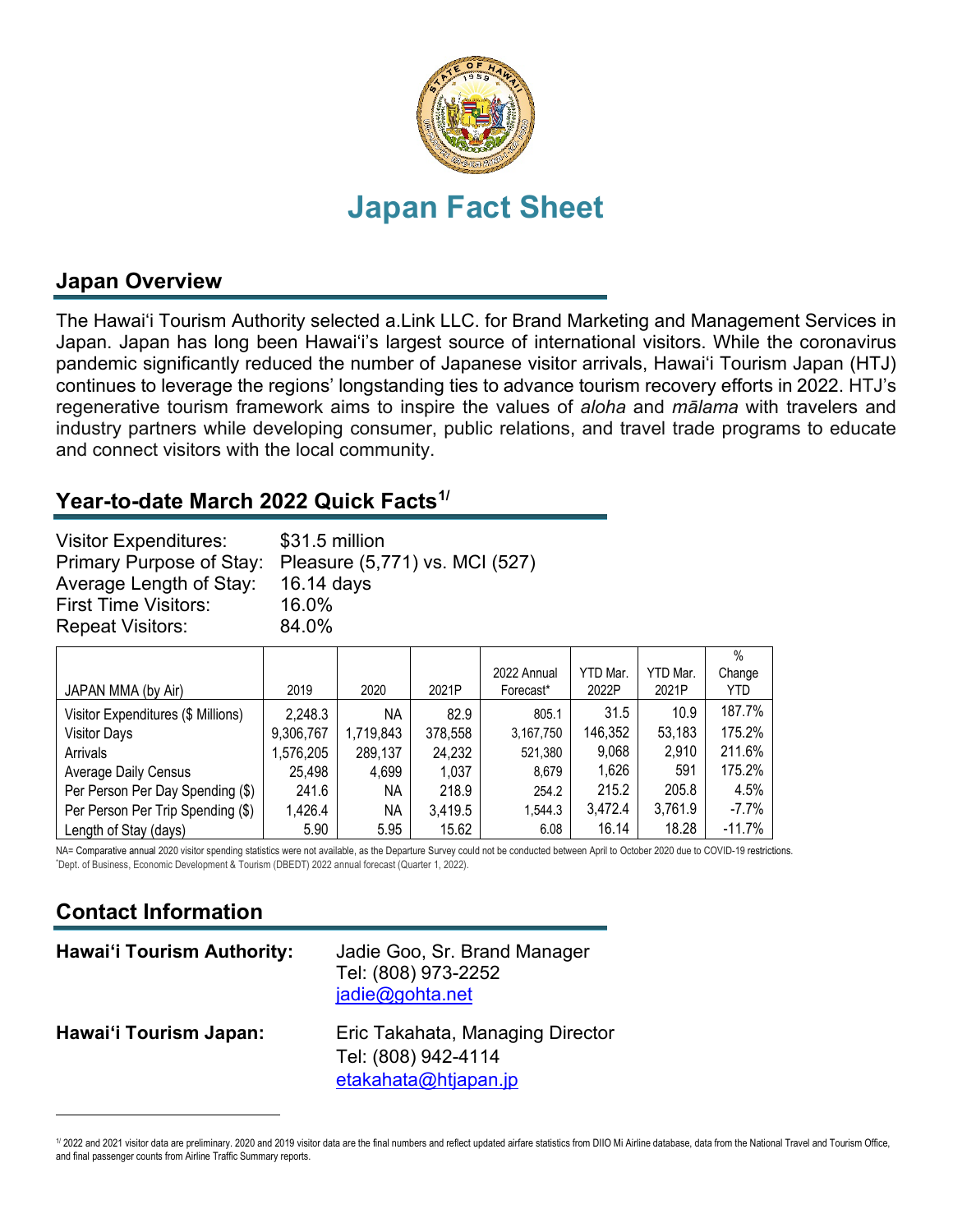

## **Japan Overview**

The Hawai'i Tourism Authority selected a.Link LLC. for Brand Marketing and Management Services in Japan. Japan has long been Hawai'i's largest source of international visitors. While the coronavirus pandemic significantly reduced the number of Japanese visitor arrivals, Hawai'i Tourism Japan (HTJ) continues to leverage the regions' longstanding ties to advance tourism recovery efforts in 2022. HTJ's regenerative tourism framework aims to inspire the values of *aloha* and *mālama* with travelers and industry partners while developing consumer, public relations, and travel trade programs to educate and connect visitors with the local community.

### **Year-to-date March 2022 Quick Facts[1/](#page-0-0)**

| <b>First Time Visitors:</b><br>16.0% | <b>Visitor Expenditures:</b><br>\$31.5 million<br>Primary Purpose of Stay: Pleasure (5,771) vs. MCI (527)<br>Average Length of Stay:<br>16.14 days |
|--------------------------------------|----------------------------------------------------------------------------------------------------------------------------------------------------|
| 84.0%<br><b>Repeat Visitors:</b>     |                                                                                                                                                    |

|                                    |           |           |         |             |          |          | $\%$     |
|------------------------------------|-----------|-----------|---------|-------------|----------|----------|----------|
|                                    |           |           |         | 2022 Annual | YTD Mar. | YTD Mar. | Change   |
| JAPAN MMA (by Air)                 | 2019      | 2020      | 2021P   | Forecast*   | 2022P    | 2021P    | YTD      |
| Visitor Expenditures (\$ Millions) | 2,248.3   | ΝA        | 82.9    | 805.1       | 31.5     | 10.9     | 187.7%   |
| <b>Visitor Days</b>                | 9,306,767 | 1,719,843 | 378,558 | 3,167,750   | 146,352  | 53,183   | 175.2%   |
| Arrivals                           | 1,576,205 | 289,137   | 24,232  | 521,380     | 9,068    | 2,910    | 211.6%   |
| <b>Average Daily Census</b>        | 25,498    | 4,699     | 1,037   | 8,679       | 1,626    | 591      | 175.2%   |
| Per Person Per Day Spending (\$)   | 241.6     | ΝA        | 218.9   | 254.2       | 215.2    | 205.8    | 4.5%     |
| Per Person Per Trip Spending (\$)  | 1,426.4   | ΝA        | 3,419.5 | 1,544.3     | 3,472.4  | 3,761.9  | $-7.7%$  |
| Length of Stay (days)              | 5.90      | 5.95      | 15.62   | 6.08        | 16.14    | 18.28    | $-11.7%$ |

NA= Comparative annual 2020 visitor spending statistics were not available, as the Departure Survey could not be conducted between April to October 2020 due to COVID-19 restrictions. Dept. of Business, Economic Development & Tourism (DBEDT) 2022 annual forecast (Quarter 1, 2022).

# **Contact Information**

| <b>Hawai'i Tourism Authority:</b> | Jadie Goo, Sr. Brand Manager<br>Tel: (808) 973-2252<br>jadie@gohta.net          |
|-----------------------------------|---------------------------------------------------------------------------------|
| Hawai'i Tourism Japan:            | Eric Takahata, Managing Director<br>Tel: (808) 942-4114<br>etakahata@htjapan.jp |

<span id="page-0-0"></span><sup>1/ 2022</sup> and 2021 visitor data are preliminary. 2020 and 2019 visitor data are the final numbers and reflect updated airfare statistics from DIIO Mi Airline database, data from the National Travel and Tourism Office, and final passenger counts from Airline Traffic Summary reports.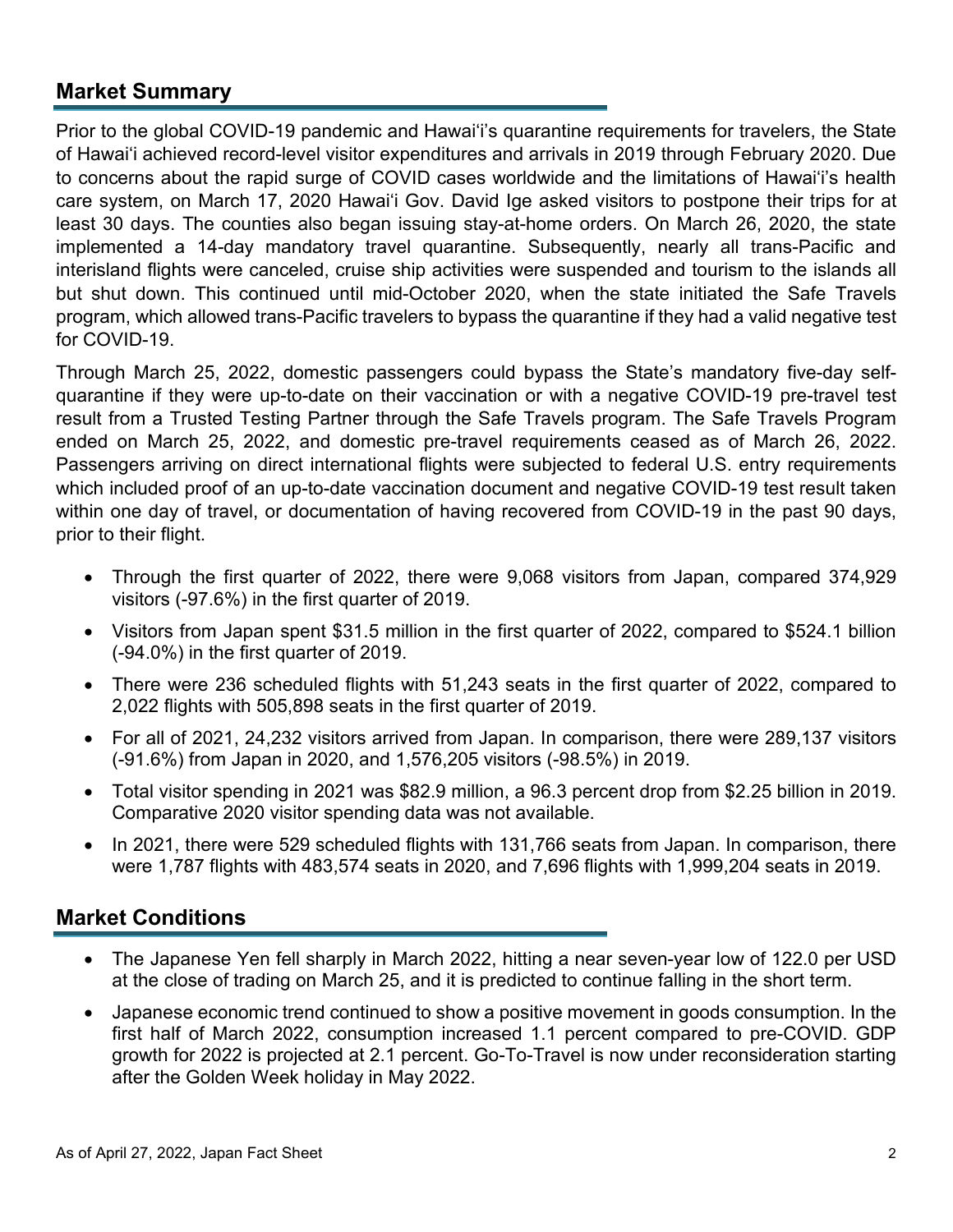#### **Market Summary**

Prior to the global COVID-19 pandemic and Hawai'i's quarantine requirements for travelers, the State of Hawai'i achieved record-level visitor expenditures and arrivals in 2019 through February 2020. Due to concerns about the rapid surge of COVID cases worldwide and the limitations of Hawai'i's health care system, on March 17, 2020 Hawai'i Gov. David Ige asked visitors to [postpone their trips](https://www.staradvertiser.com/2020/03/17/breaking-news/hawaii-records-4-more-cases-of-coronavirus-including-big-islands-first-case/) for at least 30 days. The counties also began issuing stay-at-home orders. On March 26, 2020, the state implemented a 14-day mandatory travel quarantine. Subsequently, nearly all trans-Pacific and interisland flights were canceled, cruise ship activities were suspended and tourism to the islands all but shut down. This continued until mid-October 2020, when the state initiated the Safe Travels program, which allowed trans-Pacific travelers to bypass the quarantine if they had a valid negative test for COVID-19.

Through March 25, 2022, domestic passengers could bypass the State's mandatory five-day selfquarantine if they were up-to-date on their vaccination or with a negative COVID-19 pre-travel test result from a Trusted Testing Partner through the Safe Travels program. The Safe Travels Program ended on March 25, 2022, and domestic pre-travel requirements ceased as of March 26, 2022. Passengers arriving on direct international flights were subjected to federal U.S. entry requirements which included proof of an up-to-date vaccination document and negative COVID-19 test result taken within one day of travel, or documentation of having recovered from COVID-19 in the past 90 days, prior to their flight.

- Through the first quarter of 2022, there were 9,068 visitors from Japan, compared 374,929 visitors (-97.6%) in the first quarter of 2019.
- Visitors from Japan spent \$31.5 million in the first quarter of 2022, compared to \$524.1 billion (-94.0%) in the first quarter of 2019.
- There were 236 scheduled flights with 51,243 seats in the first quarter of 2022, compared to 2,022 flights with 505,898 seats in the first quarter of 2019.
- For all of 2021, 24,232 visitors arrived from Japan. In comparison, there were 289,137 visitors (-91.6%) from Japan in 2020, and 1,576,205 visitors (-98.5%) in 2019.
- Total visitor spending in 2021 was \$82.9 million, a 96.3 percent drop from \$2.25 billion in 2019. Comparative 2020 visitor spending data was not available.
- In 2021, there were 529 scheduled flights with 131,766 seats from Japan. In comparison, there were 1,787 flights with 483,574 seats in 2020, and 7,696 flights with 1,999,204 seats in 2019.

#### **Market Conditions**

- The Japanese Yen fell sharply in March 2022, hitting a near seven-year low of 122.0 per USD at the close of trading on March 25, and it is predicted to continue falling in the short term.
- Japanese economic trend continued to show a positive movement in goods consumption. In the first half of March 2022, consumption increased 1.1 percent compared to pre-COVID. GDP growth for 2022 is projected at 2.1 percent. Go-To-Travel is now under reconsideration starting after the Golden Week holiday in May 2022.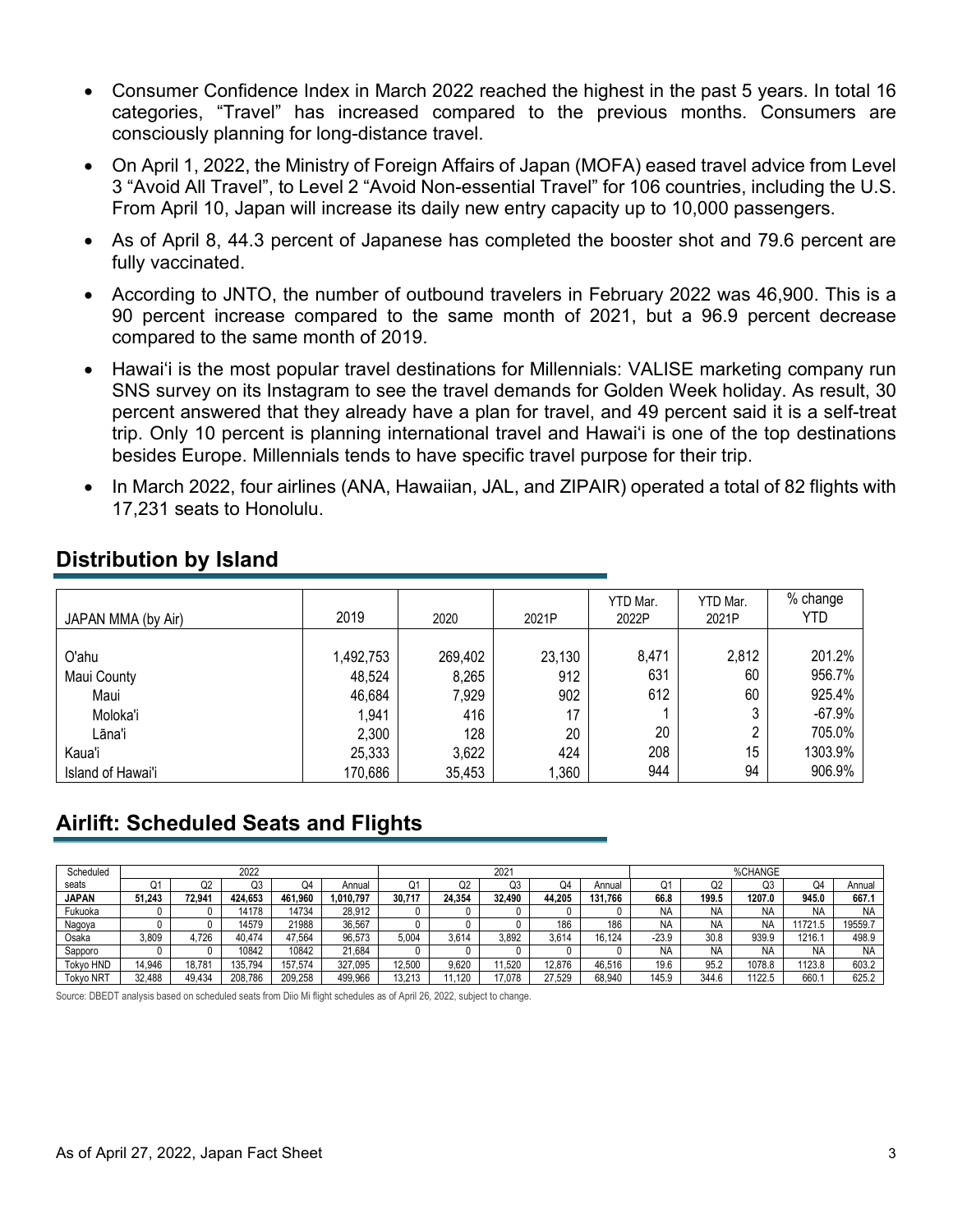- Consumer Confidence Index in March 2022 reached the highest in the past 5 years. In total 16 categories, "Travel" has increased compared to the previous months. Consumers are consciously planning for long-distance travel.
- On April 1, 2022, the Ministry of Foreign Affairs of Japan (MOFA) eased travel advice from Level 3 "Avoid All Travel", to Level 2 "Avoid Non-essential Travel" for 106 countries, including the U.S. From April 10, Japan will increase its daily new entry capacity up to 10,000 passengers.
- As of April 8, 44.3 percent of Japanese has completed the booster shot and 79.6 percent are fully vaccinated.
- According to JNTO, the number of outbound travelers in February 2022 was 46,900. This is a 90 percent increase compared to the same month of 2021, but a 96.9 percent decrease compared to the same month of 2019.
- Hawai'i is the most popular travel destinations for Millennials: VALISE marketing company run SNS survey on its Instagram to see the travel demands for Golden Week holiday. As result, 30 percent answered that they already have a plan for travel, and 49 percent said it is a self-treat trip. Only 10 percent is planning international travel and Hawaiʻi is one of the top destinations besides Europe. Millennials tends to have specific travel purpose for their trip.
- In March 2022, four airlines (ANA, Hawaiian, JAL, and ZIPAIR) operated a total of 82 flights with 17,231 seats to Honolulu.

| JAPAN MMA (by Air) | 2019      | 2020    | 2021P  | YTD Mar.<br>2022P | YTD Mar.<br>2021P | % change<br>YTD |
|--------------------|-----------|---------|--------|-------------------|-------------------|-----------------|
|                    |           |         |        |                   |                   |                 |
| O'ahu              | 1,492,753 | 269,402 | 23,130 | 8,471             | 2,812             | 201.2%          |
| Maui County        | 48,524    | 8,265   | 912    | 631               | 60                | 956.7%          |
| Maui               | 46,684    | 7,929   | 902    | 612               | 60                | 925.4%          |
| Moloka'i           | 1,941     | 416     | 17     |                   |                   | $-67.9%$        |
| Lāna'i             | 2,300     | 128     | 20     | 20                |                   | 705.0%          |
| Kaua'i             | 25,333    | 3,622   | 424    | 208               | 15                | 1303.9%         |
| Island of Hawai'i  | 170,686   | 35,453  | ,360   | 944               | 94                | 906.9%          |

### **Distribution by Island**

# **Airlift: Scheduled Seats and Flights**

| Scheduled        | 2022   |        |         |         |           | 2021   |        |        |        |         | %CHANGE   |           |           |         |           |
|------------------|--------|--------|---------|---------|-----------|--------|--------|--------|--------|---------|-----------|-----------|-----------|---------|-----------|
| seats            |        | UZ     | Q3      | ⊬ب      | Annual    | J۱.    | Q2     | Q3     | O4     | Annual  |           | Q2        | Q3        | Q4      | Annual    |
| <b>JAPAN</b>     | 51.243 | 72.94  | 424.653 | 461.960 | 1,010,797 | 30.717 | 24.354 | 32.490 | 44.205 | 131.766 | 66.8      | 199.5     | 1207.0    | 945.0   | 667.1     |
| Fukuoka          |        |        | 14178   | 14734   | 28.912    |        |        |        |        |         | <b>NA</b> | NA        | <b>NA</b> | N       | NA        |
| Nagoya           |        |        | 14579   | 21988   | 36,567    |        |        |        | 186    | 186     | <b>NA</b> | NA        | NA        | 11721.5 | 19559.7   |
| Osaka            | 3,809  | 4.726  | 40,474  | 47.564  | 96.573    | 5,004  | 3.614  | 3.892  | 3.614  | 16.124  | $-23.9$   | 30.8      | 939.9     | 1216.   | 498.9     |
| Sapporo          |        |        | 10842   | 10842   | 21.684    |        |        |        |        |         | <b>NA</b> | <b>NA</b> | NA        | N۵      | <b>NA</b> |
| Tokvo HND        | 4.946  | 18.781 | 135.794 | 157.574 | 327.095   | 12.500 | 9,620  | 1.520  | 12.876 | 46.516  | 19.6      | 95.2      | 1078.8    | 1123.8  | 603.2     |
| <b>Tokvo NRT</b> | 32.488 | 49.434 | 208.786 | 209.258 | 499.966   | 13.213 | .120   | 17.078 | 27.529 | 68.940  | 145.9     | 344.6     | 122.5     | 660.    | 625.2     |

Source: DBEDT analysis based on scheduled seats from Diio Mi flight schedules as of April 26, 2022, subject to change.